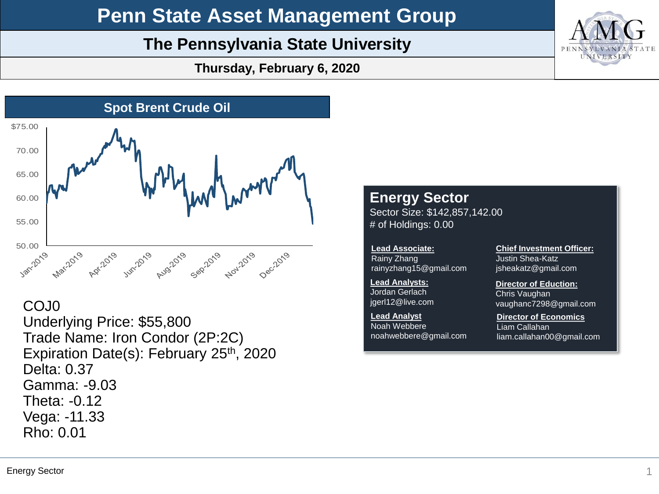# **Penn State Asset Management Group**

# **The Pennsylvania State University**

**Thursday, February 6, 2020**



# COJ0

Underlying Price: \$55,800 Trade Name: Iron Condor (2P:2C) Expiration Date(s): February 25<sup>th</sup>, 2020 Delta: 0.37 Gamma: -9.03 Theta: -0.12 Vega: -11.33 Rho: 0.01

## **Energy Sector** Sector Size: \$142,857,142.00 # of Holdings: 0.00

**Lead Associate:** Rainy Zhang rainyzhang15@gmail.com

**Lead Analysts:** Jordan Gerlach jgerl12@live.com

**Lead Analyst** Noah Webbere noahwebbere@gmail.com **Chief Investment Officer:** Justin Shea-Katz jsheakatz@gmail.com

### **Director of Eduction:**

Chris Vaughan vaughanc7298@gmail.com

**Director of Economics** Liam Callahan liam.callahan00@gmail.com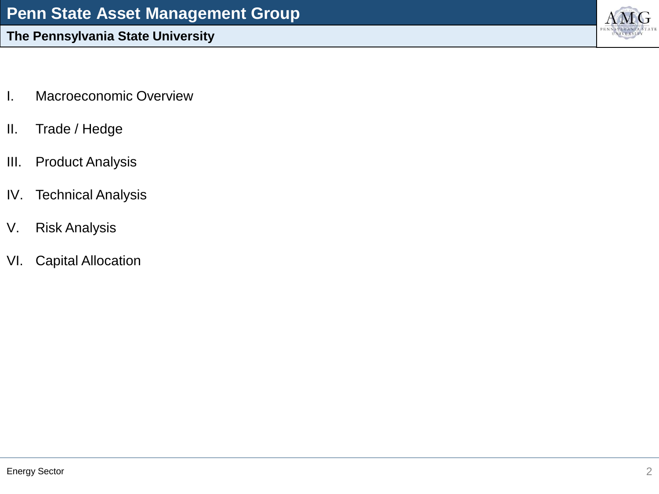- I. Macroeconomic Overview
- II. Trade / Hedge
- III. Product Analysis
- IV. Technical Analysis
- V. Risk Analysis
- VI. Capital Allocation

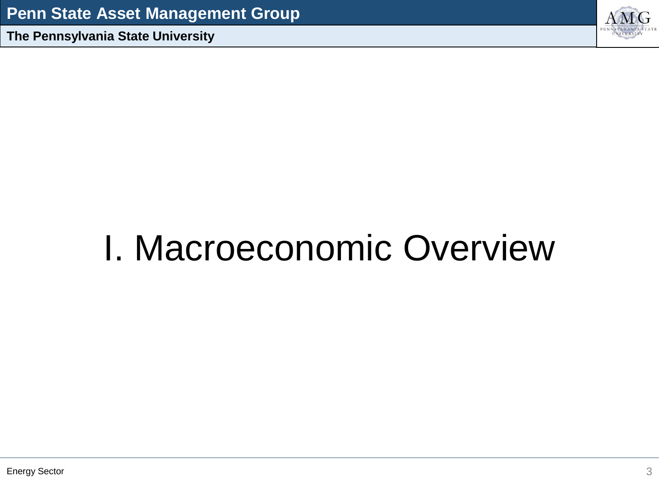

# I. Macroeconomic Overview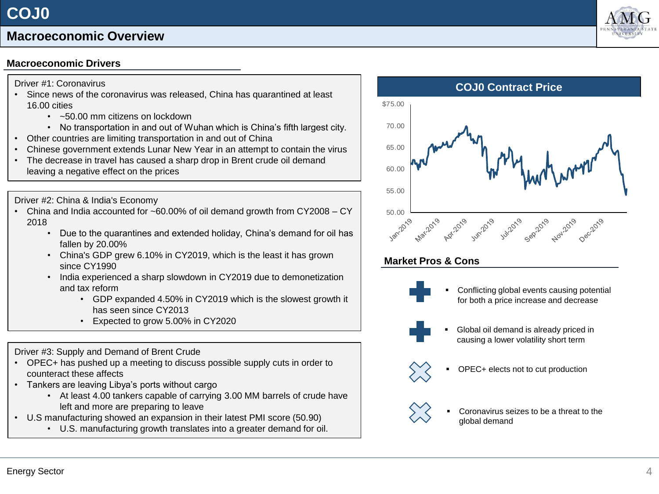# **Macroeconomic Overview**

# **Macroeconomic Drivers**

### Driver #1: Coronavirus

- Since news of the coronavirus was released, China has quarantined at least 16.00 cities
	- ~50.00 mm citizens on lockdown
	- No transportation in and out of Wuhan which is China's fifth largest city.
- Other countries are limiting transportation in and out of China
- Chinese government extends Lunar New Year in an attempt to contain the virus
- The decrease in travel has caused a sharp drop in Brent crude oil demand leaving a negative effect on the prices

Driver #2: China & India's Economy

- China and India accounted for ~60.00% of oil demand growth from CY2008 CY 2018
	- Due to the quarantines and extended holiday, China's demand for oil has fallen by 20.00%
	- China's GDP grew 6.10% in CY2019, which is the least it has grown since CY1990
	- India experienced a sharp slowdown in CY2019 due to demonetization and tax reform
		- GDP expanded 4.50% in CY2019 which is the slowest growth it has seen since CY2013
		- Expected to grow 5.00% in CY2020

## Driver #3: Supply and Demand of Brent Crude

- OPEC+ has pushed up a meeting to discuss possible supply cuts in order to counteract these affects
- Tankers are leaving Libya's ports without cargo
	- At least 4.00 tankers capable of carrying 3.00 MM barrels of crude have left and more are preparing to leave
- U.S manufacturing showed an expansion in their latest PMI score (50.90)
	- U.S. manufacturing growth translates into a greater demand for oil.





Conflicting global events causing potential for both a price increase and decrease



Global oil demand is already priced in causing a lower volatility short term



OPEC+ elects not to cut production



Coronavirus seizes to be a threat to the global demand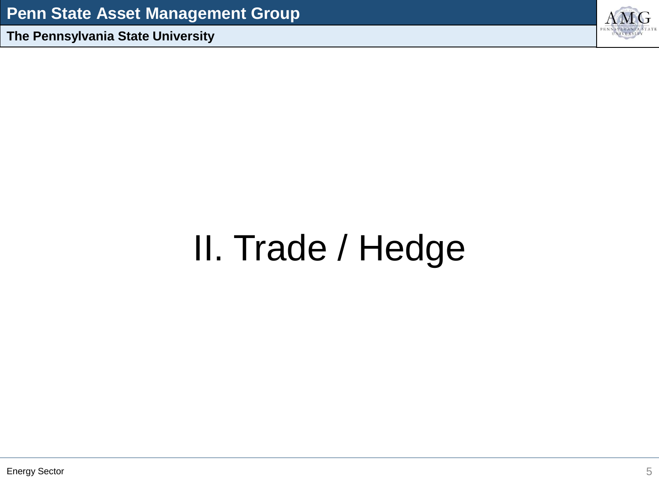

# II. Trade / Hedge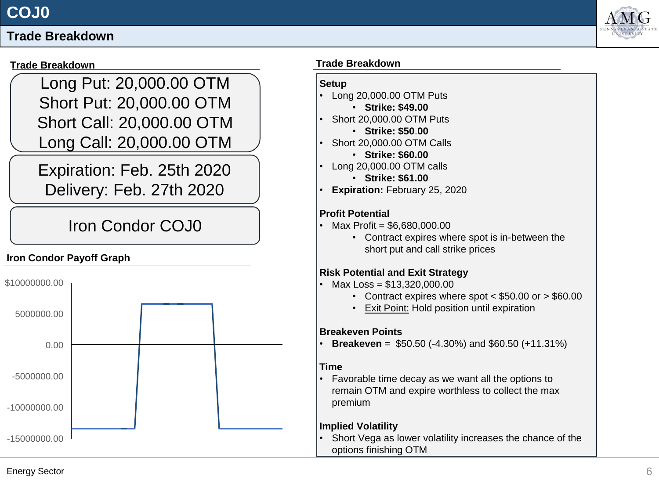# **Trade Breakdown**

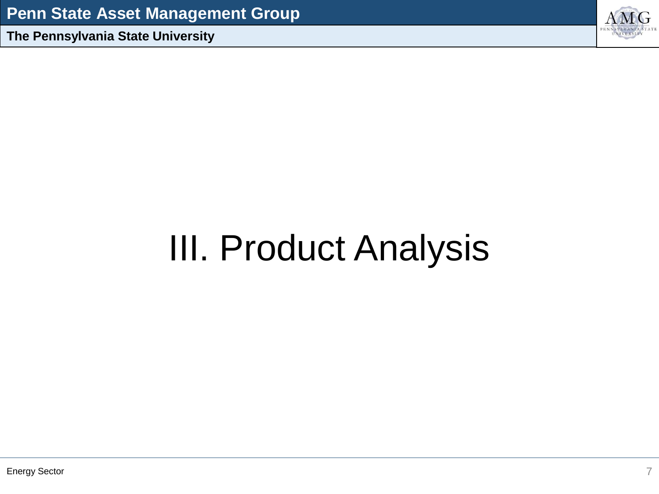

# III. Product Analysis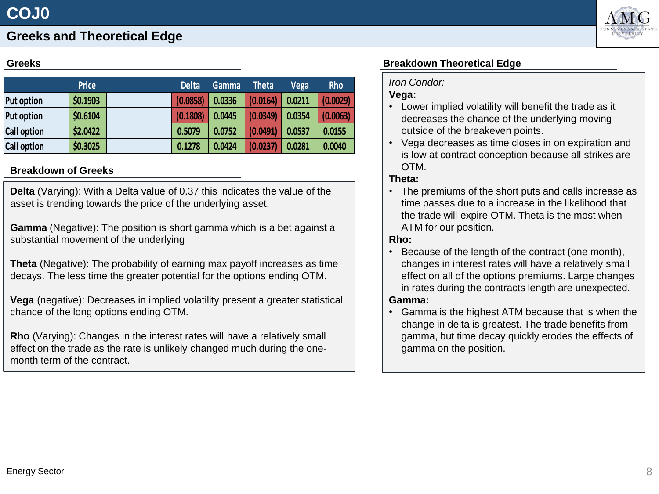

# **Greeks and Theoretical Edge**

### **Greeks**

|                    | <b>Price</b> | <b>Delta</b> | Gamma  | <b>Theta</b> | <b>Vega</b> | Rho      |
|--------------------|--------------|--------------|--------|--------------|-------------|----------|
| <b>Put option</b>  | \$0.1903     | (0.0858)     | 0.0336 | (0.0164)     | 0.0211      | (0.0029) |
| <b>Put option</b>  | \$0.6104     | (0.1808)     | 0.0445 | (0.0349)     | 0.0354      | (0.0063) |
| <b>Call option</b> | \$2.0422     | 0.5079       | 0.0752 | (0.0491)     | 0.0537      | 0.0155   |
| <b>Call option</b> | \$0.3025     | 0.1278       | 0.0424 | (0.0237)     | 0.0281      | 0.0040   |

### **Breakdown of Greeks**

**Delta** (Varying): With a Delta value of 0.37 this indicates the value of the asset is trending towards the price of the underlying asset.

**Gamma** (Negative): The position is short gamma which is a bet against a substantial movement of the underlying

**Theta** (Negative): The probability of earning max payoff increases as time decays. The less time the greater potential for the options ending OTM.

**Vega** (negative): Decreases in implied volatility present a greater statistical chance of the long options ending OTM.

**Rho** (Varying): Changes in the interest rates will have a relatively small effect on the trade as the rate is unlikely changed much during the onemonth term of the contract.

## **Breakdown Theoretical Edge**

### *Iron Condor:*

### **Vega:**

- Lower implied volatility will benefit the trade as it decreases the chance of the underlying moving outside of the breakeven points.
- Vega decreases as time closes in on expiration and is low at contract conception because all strikes are OTM.

### **Theta:**

• The premiums of the short puts and calls increase as time passes due to a increase in the likelihood that the trade will expire OTM. Theta is the most when ATM for our position.

### **Rho:**

• Because of the length of the contract (one month), changes in interest rates will have a relatively small effect on all of the options premiums. Large changes in rates during the contracts length are unexpected.

### **Gamma:**

• Gamma is the highest ATM because that is when the change in delta is greatest. The trade benefits from gamma, but time decay quickly erodes the effects of gamma on the position.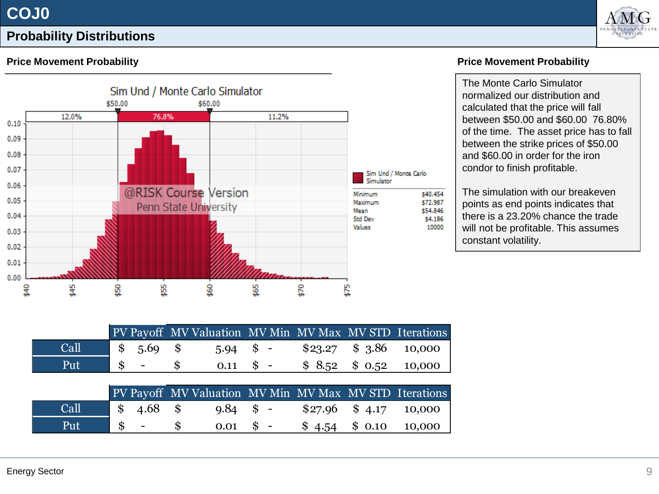



# **Probability Distributions**

## **Price Movement Probability**



### **Price Movement Probability**

The Monte Carlo Simulator normalized our distribution and calculated that the price will fall between \$50.00 and \$60.00 76.80% of the time. The asset price has to fall between the strike prices of \$50.00 and \$60.00 in order for the iron condor to finish profitable.

The simulation with our breakeven points as end points indicates that there is a 23.20% chance the trade will not be profitable. This assumes constant volatility.

|      |            |  |                   |  | PV Payoff MV Valuation MV Min MV Max MV STD Iterations |
|------|------------|--|-------------------|--|--------------------------------------------------------|
| Call | $$5.69$ \$ |  | $5.94$ \$ -       |  | $$23.27$ $$3.86$ 10,000                                |
| Put  |            |  | $0.11 \quad$ \$ - |  | $$8.52 \$0.52 \$0.52$ 10,000                           |

|      |              | PV Payoff MV Valuation MV Min MV Max MV STD Iterations |                   |  |                                   |
|------|--------------|--------------------------------------------------------|-------------------|--|-----------------------------------|
| Call | $$4.68$ \$   |                                                        | $9.84 \quad$ \$ - |  | $$27.96 \quad $4.17 \quad 10,000$ |
| Put  | $\sqrt{S}$ - |                                                        | $0.01 \quad$ \$ - |  | $$4.54$ $$0.10$ 10,000            |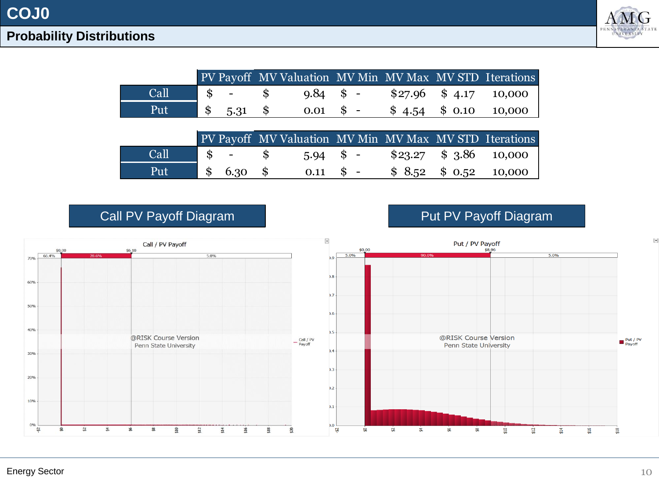# **COJ0**



# **Probability Distributions**

|      |  |  | PV Payoff MV Valuation MV Min MV Max MV STD Iterations |  |
|------|--|--|--------------------------------------------------------|--|
| Call |  |  |                                                        |  |
| Put  |  |  | $\frac{1}{5}$ , 5.31 \$ 0.01 \$ - \$4.54 \$0.10 10,000 |  |

|      |                         |  |                  |                         | PV Payoff MV Valuation MV Min MV Max MV STD Iterations |
|------|-------------------------|--|------------------|-------------------------|--------------------------------------------------------|
| Call | $\sim$ s $-$            |  | $5.94$ \$ -      | $$23.27$ $$3.86$ 10,000 |                                                        |
| Put  | $\frac{\$}{\$}$ 6.30 \$ |  | $0.11 \quad $$ - | $$8.52 \$0.52 \$0.000$  |                                                        |



Call PV Payoff Diagram **Put PV Payoff Diagram**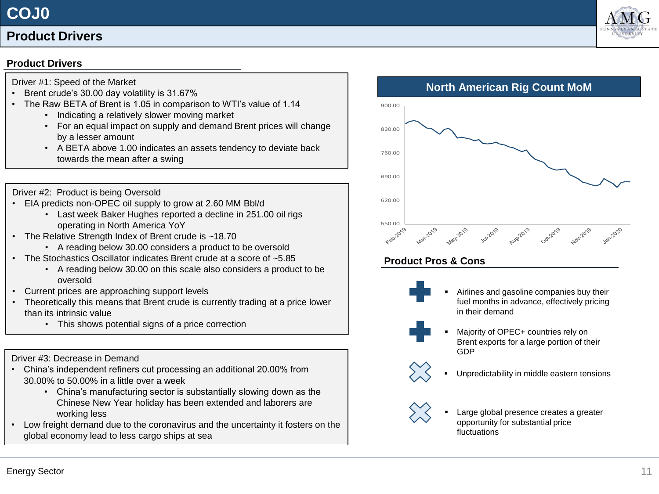# **COJ0**

# **Product Drivers**

### **Product Drivers**

- Driver #1: Speed of the Market
- Brent crude's 30.00 day volatility is 31.67%
- The Raw BETA of Brent is 1.05 in comparison to WTI's value of 1.14
	- Indicating a relatively slower moving market
	- For an equal impact on supply and demand Brent prices will change by a lesser amount
	- A BETA above 1.00 indicates an assets tendency to deviate back towards the mean after a swing



- EIA predicts non-OPEC oil supply to grow at 2.60 MM Bbl/d
	- Last week Baker Hughes reported a decline in 251.00 oil rigs operating in North America YoY
- The Relative Strength Index of Brent crude is ~18.70
	- A reading below 30.00 considers a product to be oversold
- The Stochastics Oscillator indicates Brent crude at a score of ~5.85
	- A reading below 30.00 on this scale also considers a product to be oversold
- Current prices are approaching support levels
- Theoretically this means that Brent crude is currently trading at a price lower than its intrinsic value
	- This shows potential signs of a price correction

Driver #3: Decrease in Demand

- China's independent refiners cut processing an additional 20.00% from 30.00% to 50.00% in a little over a week
	- China's manufacturing sector is substantially slowing down as the Chinese New Year holiday has been extended and laborers are working less
- Low freight demand due to the coronavirus and the uncertainty it fosters on the global economy lead to less cargo ships at sea

**North American Rig Count MoM** 550.00 620.00 690.00 760.00 830.00 900.00

# **Product Pros & Cons**

- - Airlines and gasoline companies buy their fuel months in advance, effectively pricing in their demand
	- Majority of OPEC+ countries rely on Brent exports for a large portion of their GDP
	- Unpredictability in middle eastern tensions



 $\left\langle \right\rangle$ 

Large global presence creates a greater opportunity for substantial price fluctuations

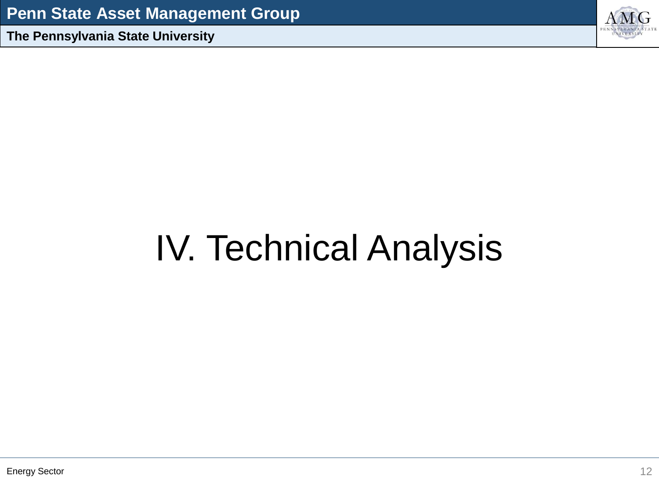

# IV. Technical Analysis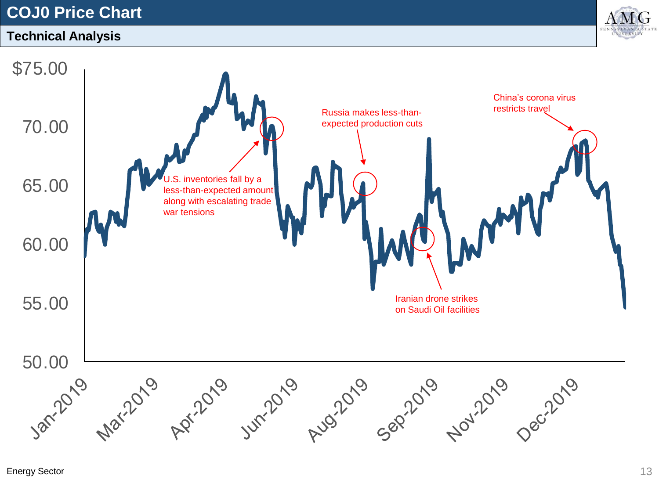# **COJ0 Price Chart**

# **Technical Analysis**



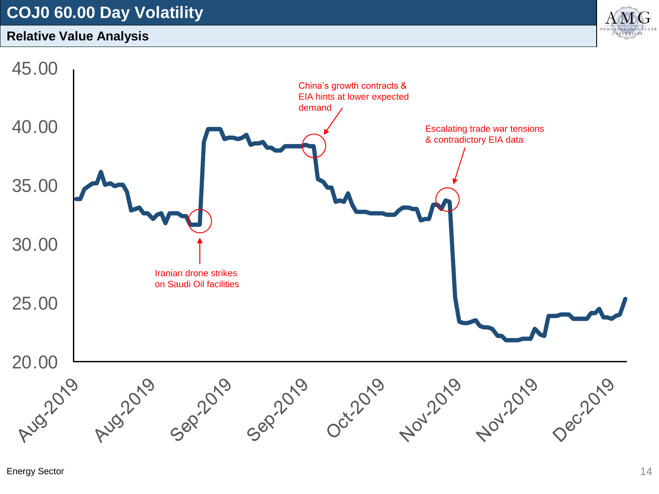# **COJ0 60.00 Day Volatility**

# **Relative Value Analysis**



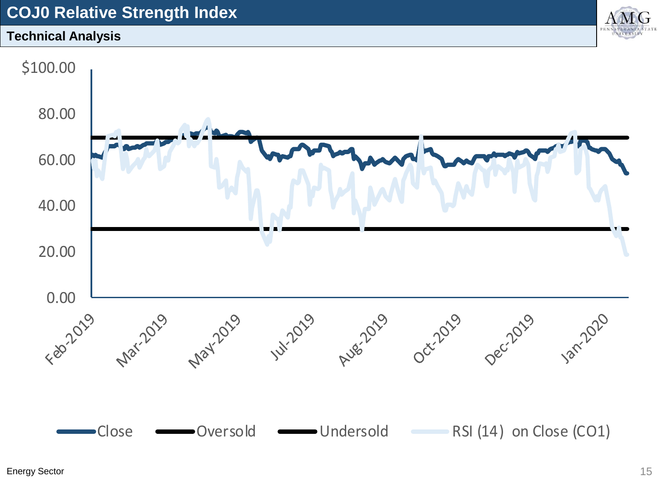# **COJ0 Relative Strength Index**

# **Technical Analysis**



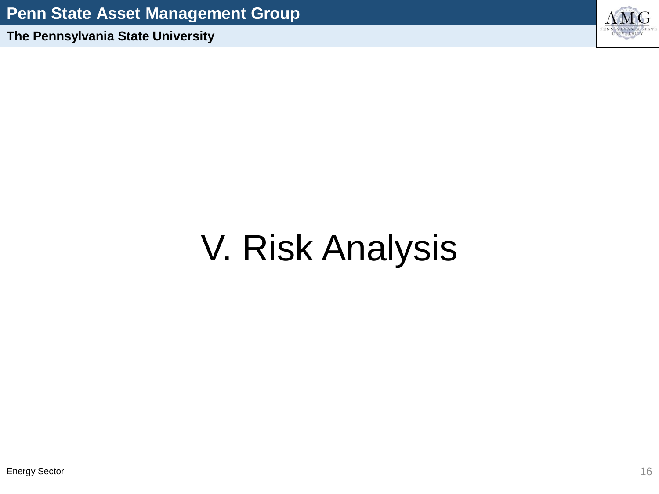

# V. Risk Analysis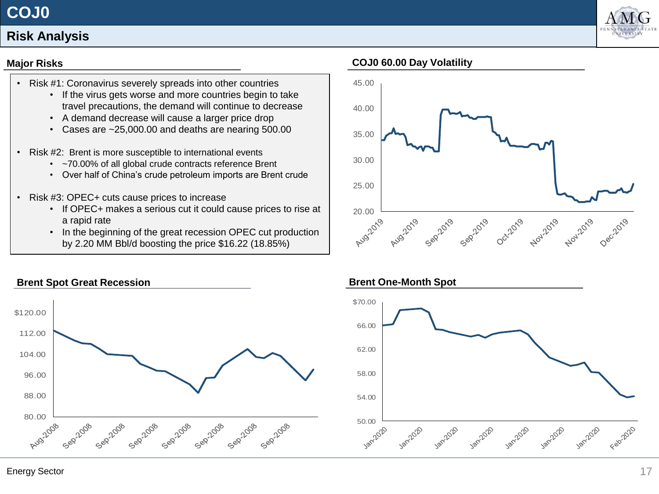# **COJ0**



# **Risk Analysis**

## **Major Risks**

- Risk #1: Coronavirus severely spreads into other countries
	- If the virus gets worse and more countries begin to take travel precautions, the demand will continue to decrease
	- A demand decrease will cause a larger price drop
	- Cases are ~25,000.00 and deaths are nearing 500.00
- Risk #2: Brent is more susceptible to international events
	- ~70.00% of all global crude contracts reference Brent
	- Over half of China's crude petroleum imports are Brent crude
- Risk #3: OPEC+ cuts cause prices to increase
	- If OPEC+ makes a serious cut it could cause prices to rise at a rapid rate
	- In the beginning of the great recession OPEC cut production by 2.20 MM Bbl/d boosting the price \$16.22 (18.85%)



## **COJ0 60.00 Day Volatility**



### **Brent One-Month Spot**



## Energy Sector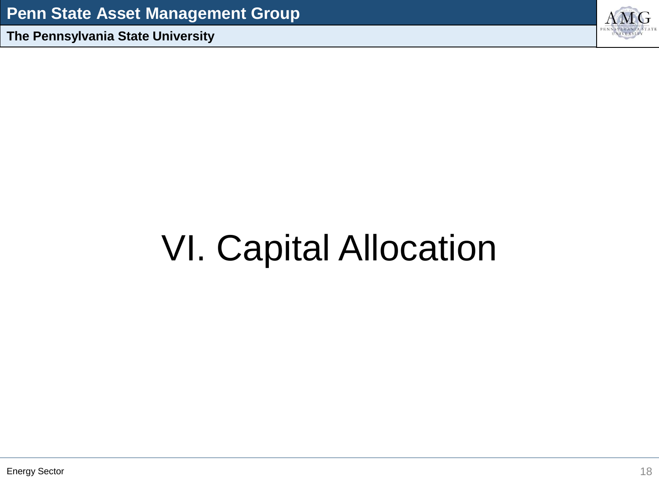

# VI. Capital Allocation